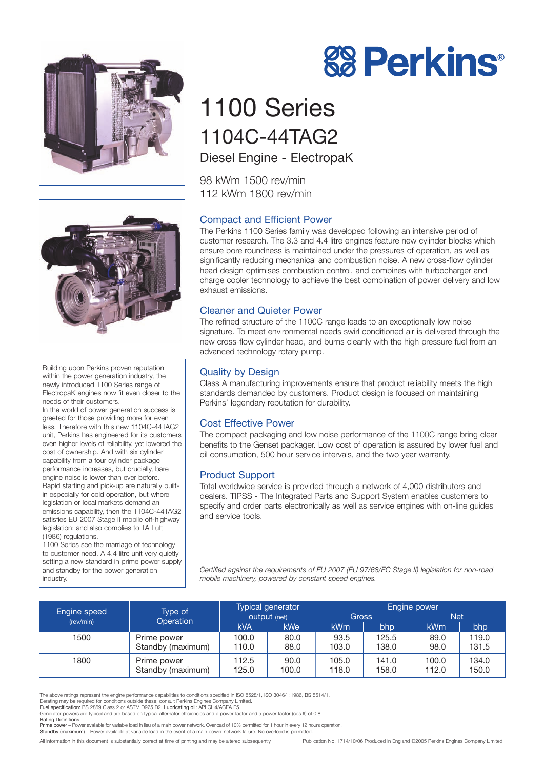



Building upon Perkins proven reputation within the power generation industry, the newly introduced 1100 Series range of ElectropaK engines now fit even closer to the needs of their customers.

In the world of power generation success is greeted for those providing more for even less. Therefore with this new 1104C-44TAG2 unit, Perkins has engineered for its customers even higher levels of reliability, yet lowered the cost of ownership. And with six cylinder capability from a four cylinder package performance increases, but crucially, bare engine noise is lower than ever before. Rapid starting and pick-up are naturally builtin especially for cold operation, but where legislation or local markets demand an emissions capability, then the 1104C-44TAG2 satisfies EU 2007 Stage II mobile off-highway legislation; and also complies to TA Luft (1986) regulations.

1100 Series see the marriage of technology to customer need. A 4.4 litre unit very quietly setting a new standard in prime power supply and standby for the power generation industry.

# **88 Perkins®**

# 1100 Series 1104C-44TAG2 Diesel Engine - ElectropaK

98 kWm 1500 rev/min 112 kWm 1800 rev/min

# Compact and Efficient Power

The Perkins 1100 Series family was developed following an intensive period of customer research. The 3.3 and 4.4 litre engines feature new cylinder blocks which ensure bore roundness is maintained under the pressures of operation, as well as significantly reducing mechanical and combustion noise. A new cross-flow cylinder head design optimises combustion control, and combines with turbocharger and charge cooler technology to achieve the best combination of power delivery and low exhaust emissions.

### Cleaner and Quieter Power

The refined structure of the 1100C range leads to an exceptionally low noise signature. To meet environmental needs swirl conditioned air is delivered through the new cross-flow cylinder head, and burns cleanly with the high pressure fuel from an advanced technology rotary pump.

# Quality by Design

Class A manufacturing improvements ensure that product reliability meets the high standards demanded by customers. Product design is focused on maintaining Perkins' legendary reputation for durability.

### Cost Effective Power

The compact packaging and low noise performance of the 1100C range bring clear benefits to the Genset packager. Low cost of operation is assured by lower fuel and oil consumption, 500 hour service intervals, and the two year warranty.

# Product Support

Total worldwide service is provided through a network of 4,000 distributors and dealers. TIPSS - The Integrated Parts and Support System enables customers to specify and order parts electronically as well as service engines with on-line quides and service tools.

*Certified against the requirements of EU 2007 (EU 97/68/EC Stage II) legislation for non-road mobile machinery, powered by constant speed engines.*

| Engine speed<br>(rev/min) | Type of<br>Operation             | <b>Typical generator</b><br><b>Output</b> (net) |               | Engine power   |                |                |                |
|---------------------------|----------------------------------|-------------------------------------------------|---------------|----------------|----------------|----------------|----------------|
|                           |                                  |                                                 |               | Gross          |                | <b>Net</b>     |                |
|                           |                                  | <b>kVA</b>                                      | kWe           | <b>kWm</b>     | bhp            | kWm            | bhp            |
| 1500                      | Prime power<br>Standby (maximum) | 100.0<br>110.0                                  | 80.0<br>88.0  | 93.5<br>103.0  | 125.5<br>138.0 | 89.0<br>98.0   | 119.0<br>131.5 |
| 1800                      | Prime power<br>Standby (maximum) | 112.5<br>125.0                                  | 90.0<br>100.0 | 105.0<br>118.0 | 141.0<br>158.0 | 100.0<br>112.0 | 134.0<br>150.0 |

The above ratings represent the engine performance capabilities to conditions specified in ISO 8528/1, ISO 3046/1:1986, BS 5514/1.

Rating Definitions<br>Prime power – Power available for variable load in lieu of a main power network. Overload of 10% permitted for 1 hour in every 12 hours operation. Standby (maximum) – Power available at variable load in the event of a main power network failure. No overload is permitted.

All information in this document is substantially correct at time of printing and may be altered subsequently Publication No. 1714/10/06 Produced in England ©2005 Perkins Engines Company Limited

Derating may be required for conditions outside these; consult Perkins Engines Company Limited.<br>**Fuel specification:** BS 2869 Class 2 or ASTM D975 D2. Lubricating oil: API CH4/ACEA E5.

Generator powers are typical and are based on typical alternator efficiencies and a power factor and a power factor (cos θ) of 0.8.